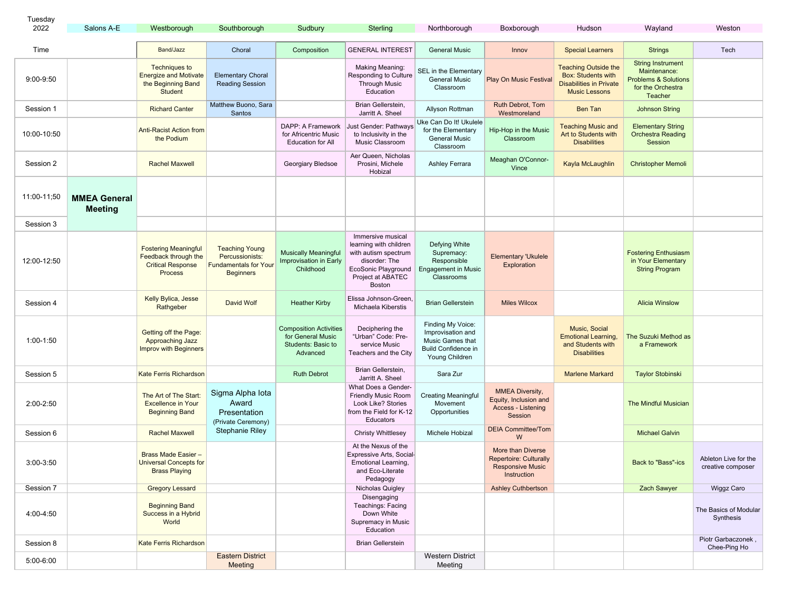| Tuesday     |                                       |                                                                                                   |                                                                                              |                                                                                      |                                                                                                                                                   |                                                                                                            |                                                                                              |                                                                                                                    |                                                                                                             |                                           |  |
|-------------|---------------------------------------|---------------------------------------------------------------------------------------------------|----------------------------------------------------------------------------------------------|--------------------------------------------------------------------------------------|---------------------------------------------------------------------------------------------------------------------------------------------------|------------------------------------------------------------------------------------------------------------|----------------------------------------------------------------------------------------------|--------------------------------------------------------------------------------------------------------------------|-------------------------------------------------------------------------------------------------------------|-------------------------------------------|--|
| 2022        | Salons A-E                            | Westborough                                                                                       | Southborough                                                                                 | Sudbury                                                                              | Sterling                                                                                                                                          | Northborough                                                                                               | Boxborough                                                                                   | Hudson                                                                                                             | Wayland                                                                                                     | Weston                                    |  |
| Time        |                                       | Band/Jazz                                                                                         | Choral                                                                                       | Composition                                                                          | <b>GENERAL INTEREST</b>                                                                                                                           | <b>General Music</b>                                                                                       | Innov                                                                                        | <b>Special Learners</b>                                                                                            | <b>Strings</b>                                                                                              | Tech                                      |  |
| 9:00-9:50   |                                       | <b>Techniques to</b><br><b>Energize and Motivate</b><br>the Beginning Band<br><b>Student</b>      | <b>Elementary Choral</b><br><b>Reading Session</b>                                           |                                                                                      | <b>Making Meaning:</b><br>Responding to Culture<br><b>Through Music</b><br>Education                                                              | SEL in the Elementary<br><b>General Music</b><br>Classroom                                                 | Play On Music Festival                                                                       | <b>Teaching Outside the</b><br><b>Box: Students with</b><br><b>Disabilities in Private</b><br><b>Music Lessons</b> | <b>String Instrument</b><br>Maintenance:<br><b>Problems &amp; Solutions</b><br>for the Orchestra<br>Teacher |                                           |  |
| Session 1   |                                       | <b>Richard Canter</b>                                                                             | Matthew Buono, Sara<br>Santos                                                                |                                                                                      | Brian Gellerstein,<br>Jarritt A. Sheel                                                                                                            | Allyson Rottman                                                                                            | Ruth Debrot, Tom<br>Westmoreland                                                             | Ben Tan                                                                                                            | <b>Johnson String</b>                                                                                       |                                           |  |
| 10:00-10:50 |                                       | <b>Anti-Racist Action from</b><br>the Podium                                                      |                                                                                              | DAPP: A Framework<br>for Africentric Music<br><b>Education for All</b>               | Just Gender: Pathways<br>to Inclusivity in the<br>Music Classroom                                                                                 | Uke Can Do It! Ukulele<br>for the Elementary<br><b>General Music</b><br>Classroom                          | Hip-Hop in the Music<br>Classroom                                                            | <b>Teaching Music and</b><br>Art to Students with<br><b>Disabilities</b>                                           | <b>Elementary String</b><br><b>Orchestra Reading</b><br>Session                                             |                                           |  |
| Session 2   |                                       | <b>Rachel Maxwell</b>                                                                             |                                                                                              | Georgiary Bledsoe                                                                    | Aer Queen, Nicholas<br>Prosini, Michele<br>Hobizal                                                                                                | Ashley Ferrara                                                                                             | Meaghan O'Connor-<br>Vince                                                                   | Kayla McLaughlin                                                                                                   | <b>Christopher Memoli</b>                                                                                   |                                           |  |
| 11:00-11:50 | <b>MMEA General</b><br><b>Meeting</b> |                                                                                                   |                                                                                              |                                                                                      |                                                                                                                                                   |                                                                                                            |                                                                                              |                                                                                                                    |                                                                                                             |                                           |  |
| Session 3   |                                       |                                                                                                   |                                                                                              |                                                                                      |                                                                                                                                                   |                                                                                                            |                                                                                              |                                                                                                                    |                                                                                                             |                                           |  |
| 12:00-12:50 |                                       | <b>Fostering Meaningful</b><br>Feedback through the<br><b>Critical Response</b><br><b>Process</b> | <b>Teaching Young</b><br>Percussionists:<br><b>Fundamentals for Your</b><br><b>Beginners</b> | <b>Musically Meaningful</b><br>Improvisation in Early<br>Childhood                   | Immersive musical<br>learning with children<br>with autism spectrum<br>disorder: The<br>EcoSonic Playground<br>Project at ABATEC<br><b>Boston</b> | Defying White<br>Supremacy:<br>Responsible<br><b>Engagement in Music</b><br>Classrooms                     | <b>Elementary 'Ukulele</b><br>Exploration                                                    |                                                                                                                    | <b>Fostering Enthusiasm</b><br>in Your Elementary<br><b>String Program</b>                                  |                                           |  |
| Session 4   |                                       | Kelly Bylica, Jesse<br>Rathgeber                                                                  | <b>David Wolf</b>                                                                            | <b>Heather Kirby</b>                                                                 | Elissa Johnson-Green.<br>Michaela Kiberstis                                                                                                       | <b>Brian Gellerstein</b>                                                                                   | <b>Miles Wilcox</b>                                                                          |                                                                                                                    | <b>Alicia Winslow</b>                                                                                       |                                           |  |
| 1:00-1:50   |                                       | Getting off the Page:<br>Approaching Jazz<br><b>Improv with Beginners</b>                         |                                                                                              | <b>Composition Activities</b><br>for General Music<br>Students: Basic to<br>Advanced | Deciphering the<br>"Urban" Code: Pre-<br>service Music<br>Teachers and the City                                                                   | Finding My Voice:<br>Improvisation and<br>Music Games that<br><b>Build Confidence in</b><br>Young Children |                                                                                              | <b>Music, Social</b><br><b>Emotional Learning</b><br>and Students with<br><b>Disabilities</b>                      | The Suzuki Method as<br>a Framework                                                                         |                                           |  |
| Session 5   |                                       | Kate Ferris Richardson                                                                            |                                                                                              | <b>Ruth Debrot</b>                                                                   | Brian Gellerstein,<br>Jarritt A. Sheel                                                                                                            | Sara Zur                                                                                                   |                                                                                              | <b>Marlene Markard</b>                                                                                             | <b>Taylor Stobinski</b>                                                                                     |                                           |  |
| 2:00-2:50   |                                       | The Art of The Start:<br><b>Excellence in Your</b><br><b>Beginning Band</b>                       | Sigma Alpha Iota<br>Award<br>Presentation<br>(Private Ceremony)                              |                                                                                      | What Does a Gender-<br><b>Friendly Music Room</b><br>Look Like? Stories<br>from the Field for K-12<br>Educators                                   | <b>Creating Meaningful</b><br>Movement<br>Opportunities                                                    | <b>MMEA Diversity,</b><br>Equity, Inclusion and<br><b>Access - Listening</b><br>Session      |                                                                                                                    | The Mindful Musician                                                                                        |                                           |  |
| Session 6   |                                       | <b>Rachel Maxwell</b>                                                                             | <b>Stephanie Riley</b>                                                                       |                                                                                      | <b>Christy Whittlesey</b>                                                                                                                         | Michele Hobizal                                                                                            | <b>DEIA Committee/Tom</b><br>W                                                               |                                                                                                                    | <b>Michael Galvin</b>                                                                                       |                                           |  |
| 3:00-3:50   |                                       | Brass Made Easier -<br><b>Universal Concepts for</b><br><b>Brass Playing</b>                      |                                                                                              |                                                                                      | At the Nexus of the<br>Expressive Arts, Social-<br><b>Emotional Learning,</b><br>and Eco-Literate<br>Pedagogy                                     |                                                                                                            | More than Diverse<br><b>Repertoire: Culturally</b><br><b>Responsive Music</b><br>Instruction |                                                                                                                    | Back to "Bass"-ics                                                                                          | Ableton Live for the<br>creative composer |  |
| Session 7   |                                       | <b>Gregory Lessard</b>                                                                            |                                                                                              |                                                                                      | Nicholas Quigley                                                                                                                                  |                                                                                                            | <b>Ashley Cuthbertson</b>                                                                    |                                                                                                                    | <b>Zach Sawyer</b>                                                                                          | <b>Wiggz Caro</b>                         |  |
| 4:00-4:50   |                                       | <b>Beginning Band</b><br>Success in a Hybrid<br>World                                             |                                                                                              |                                                                                      | Disengaging<br>Teachings: Facing<br>Down White<br>Supremacy in Music<br>Education                                                                 |                                                                                                            |                                                                                              |                                                                                                                    |                                                                                                             | The Basics of Modular<br>Synthesis        |  |
| Session 8   |                                       | <b>Kate Ferris Richardson</b>                                                                     |                                                                                              |                                                                                      | <b>Brian Gellerstein</b>                                                                                                                          |                                                                                                            |                                                                                              |                                                                                                                    |                                                                                                             | Piotr Garbaczonek,<br>Chee-Ping Ho        |  |
| 5:00-6:00   |                                       |                                                                                                   | <b>Eastern District</b><br>Meeting                                                           |                                                                                      |                                                                                                                                                   | <b>Western District</b><br>Meeting                                                                         |                                                                                              |                                                                                                                    |                                                                                                             |                                           |  |